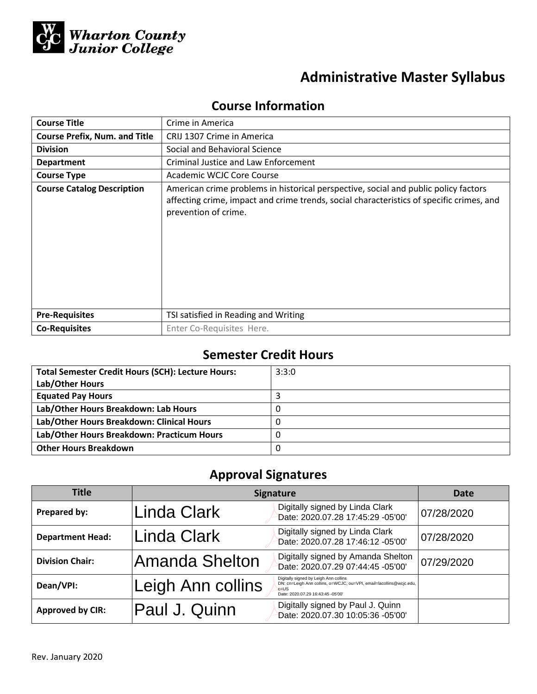

# **Administrative Master Syllabus**

# **Course Information**

| <b>Course Title</b>                  | Crime in America                                                                                                                                                                                        |  |  |
|--------------------------------------|---------------------------------------------------------------------------------------------------------------------------------------------------------------------------------------------------------|--|--|
| <b>Course Prefix, Num. and Title</b> | CRIJ 1307 Crime in America                                                                                                                                                                              |  |  |
| <b>Division</b>                      | Social and Behavioral Science                                                                                                                                                                           |  |  |
| <b>Department</b>                    | Criminal Justice and Law Enforcement                                                                                                                                                                    |  |  |
| <b>Course Type</b>                   | Academic WCJC Core Course                                                                                                                                                                               |  |  |
| <b>Course Catalog Description</b>    | American crime problems in historical perspective, social and public policy factors<br>affecting crime, impact and crime trends, social characteristics of specific crimes, and<br>prevention of crime. |  |  |
| <b>Pre-Requisites</b>                | TSI satisfied in Reading and Writing                                                                                                                                                                    |  |  |
| <b>Co-Requisites</b>                 | Enter Co-Requisites Here.                                                                                                                                                                               |  |  |

# **Semester Credit Hours**

| <b>Total Semester Credit Hours (SCH): Lecture Hours:</b> | 3:3:0 |
|----------------------------------------------------------|-------|
| Lab/Other Hours                                          |       |
| <b>Equated Pay Hours</b>                                 |       |
| Lab/Other Hours Breakdown: Lab Hours                     |       |
| Lab/Other Hours Breakdown: Clinical Hours                |       |
| Lab/Other Hours Breakdown: Practicum Hours               |       |
| <b>Other Hours Breakdown</b>                             |       |

# **Approval Signatures**

| Title                   | <b>Signature</b>  | Date                                                                                                                                                          |            |
|-------------------------|-------------------|---------------------------------------------------------------------------------------------------------------------------------------------------------------|------------|
| Prepared by:            | Linda Clark       | Digitally signed by Linda Clark<br>Date: 2020.07.28 17:45:29 -05'00'                                                                                          | 07/28/2020 |
| <b>Department Head:</b> | Linda Clark       | Digitally signed by Linda Clark<br>Date: 2020.07.28 17:46:12 -05'00'                                                                                          | 07/28/2020 |
| <b>Division Chair:</b>  | Amanda Shelton    | Digitally signed by Amanda Shelton<br>Date: 2020.07.29 07:44:45 -05'00'                                                                                       | 07/29/2020 |
| Dean/VPI:               | Leigh Ann collins | Digitally signed by Leigh Ann collins<br>DN: cn=Leigh Ann collins, o=WCJC, ou=VPI, email=lacollins@wcjc.edu,<br>$c = US$<br>Date: 2020.07.29 16:43:45 -05'00' |            |
| <b>Approved by CIR:</b> | Paul J. Quinn     | Digitally signed by Paul J. Quinn<br>Date: 2020.07.30 10:05:36 -05'00'                                                                                        |            |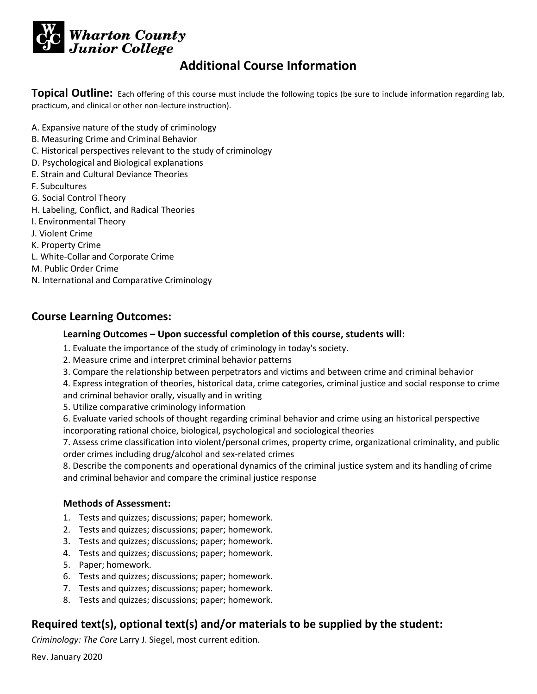

# **Additional Course Information**

**Topical Outline:** Each offering of this course must include the following topics (be sure to include information regarding lab, practicum, and clinical or other non-lecture instruction).

- A. Expansive nature of the study of criminology
- B. Measuring Crime and Criminal Behavior
- C. Historical perspectives relevant to the study of criminology
- D. Psychological and Biological explanations
- E. Strain and Cultural Deviance Theories
- F. Subcultures
- G. Social Control Theory
- H. Labeling, Conflict, and Radical Theories
- I. Environmental Theory
- J. Violent Crime
- K. Property Crime
- L. White-Collar and Corporate Crime
- M. Public Order Crime
- N. International and Comparative Criminology

#### **Course Learning Outcomes:**

#### **Learning Outcomes – Upon successful completion of this course, students will:**

- 1. Evaluate the importance of the study of criminology in today's society.
- 2. Measure crime and interpret criminal behavior patterns
- 3. Compare the relationship between perpetrators and victims and between crime and criminal behavior

4. Express integration of theories, historical data, crime categories, criminal justice and social response to crime and criminal behavior orally, visually and in writing

5. Utilize comparative criminology information

6. Evaluate varied schools of thought regarding criminal behavior and crime using an historical perspective incorporating rational choice, biological, psychological and sociological theories

7. Assess crime classification into violent/personal crimes, property crime, organizational criminality, and public order crimes including drug/alcohol and sex-related crimes

8. Describe the components and operational dynamics of the criminal justice system and its handling of crime and criminal behavior and compare the criminal justice response

#### **Methods of Assessment:**

- 1. Tests and quizzes; discussions; paper; homework.
- 2. Tests and quizzes; discussions; paper; homework.
- 3. Tests and quizzes; discussions; paper; homework.
- 4. Tests and quizzes; discussions; paper; homework.
- 5. Paper; homework.
- 6. Tests and quizzes; discussions; paper; homework.
- 7. Tests and quizzes; discussions; paper; homework.
- 8. Tests and quizzes; discussions; paper; homework.

### **Required text(s), optional text(s) and/or materials to be supplied by the student:**

*Criminology: The Core* Larry J. Siegel, most current edition.

Rev. January 2020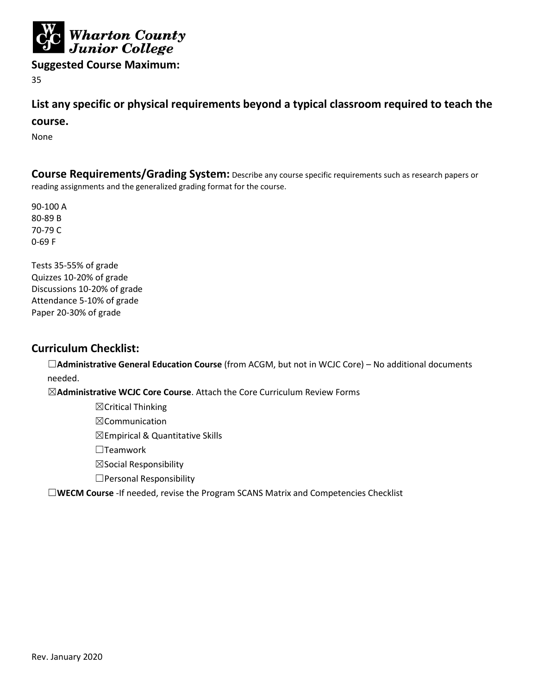

**Suggested Course Maximum:** 

35

## **List any specific or physical requirements beyond a typical classroom required to teach the**

#### **course.**

None

**Course Requirements/Grading System:** Describe any course specific requirements such as research papers or reading assignments and the generalized grading format for the course.

90-100 A 80-89 B 70-79 C 0-69 F

Tests 35-55% of grade Quizzes 10-20% of grade Discussions 10-20% of grade Attendance 5-10% of grade Paper 20-30% of grade

#### **Curriculum Checklist:**

☐**Administrative General Education Course** (from ACGM, but not in WCJC Core) – No additional documents needed.

☒**Administrative WCJC Core Course**. Attach the Core Curriculum Review Forms

☒Critical Thinking

☒Communication

 $\boxtimes$ Empirical & Quantitative Skills

☐Teamwork

☒Social Responsibility

☐Personal Responsibility

☐**WECM Course** -If needed, revise the Program SCANS Matrix and Competencies Checklist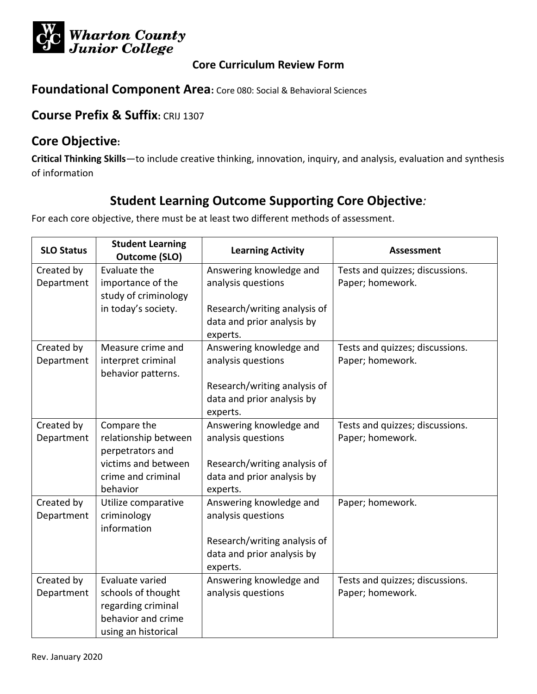

**Foundational Component Area:** Core 080: Social & Behavioral Sciences

## **Course Prefix & Suffix:** CRIJ 1307

## **Core Objective:**

**Critical Thinking Skills**—to include creative thinking, innovation, inquiry, and analysis, evaluation and synthesis of information

# **Student Learning Outcome Supporting Core Objective***:*

| <b>SLO Status</b> | <b>Student Learning</b><br><b>Outcome (SLO)</b> | <b>Learning Activity</b>               | <b>Assessment</b>               |
|-------------------|-------------------------------------------------|----------------------------------------|---------------------------------|
| Created by        | Evaluate the                                    | Answering knowledge and                | Tests and quizzes; discussions. |
| Department        | importance of the                               | analysis questions                     | Paper; homework.                |
|                   | study of criminology                            |                                        |                                 |
|                   | in today's society.                             | Research/writing analysis of           |                                 |
|                   |                                                 | data and prior analysis by             |                                 |
|                   |                                                 | experts.                               |                                 |
| Created by        | Measure crime and                               | Answering knowledge and                | Tests and quizzes; discussions. |
| Department        | interpret criminal                              | analysis questions                     | Paper; homework.                |
|                   | behavior patterns.                              |                                        |                                 |
|                   |                                                 | Research/writing analysis of           |                                 |
|                   |                                                 | data and prior analysis by             |                                 |
|                   |                                                 | experts.                               |                                 |
| Created by        | Compare the                                     | Answering knowledge and                | Tests and quizzes; discussions. |
| Department        | relationship between                            | analysis questions                     | Paper; homework.                |
|                   | perpetrators and<br>victims and between         |                                        |                                 |
|                   | crime and criminal                              | Research/writing analysis of           |                                 |
|                   | behavior                                        | data and prior analysis by<br>experts. |                                 |
| Created by        | Utilize comparative                             | Answering knowledge and                | Paper; homework.                |
| Department        | criminology                                     | analysis questions                     |                                 |
|                   | information                                     |                                        |                                 |
|                   |                                                 | Research/writing analysis of           |                                 |
|                   |                                                 | data and prior analysis by             |                                 |
|                   |                                                 | experts.                               |                                 |
| Created by        | Evaluate varied                                 | Answering knowledge and                | Tests and quizzes; discussions. |
| Department        | schools of thought                              | analysis questions                     | Paper; homework.                |
|                   | regarding criminal                              |                                        |                                 |
|                   | behavior and crime                              |                                        |                                 |
|                   | using an historical                             |                                        |                                 |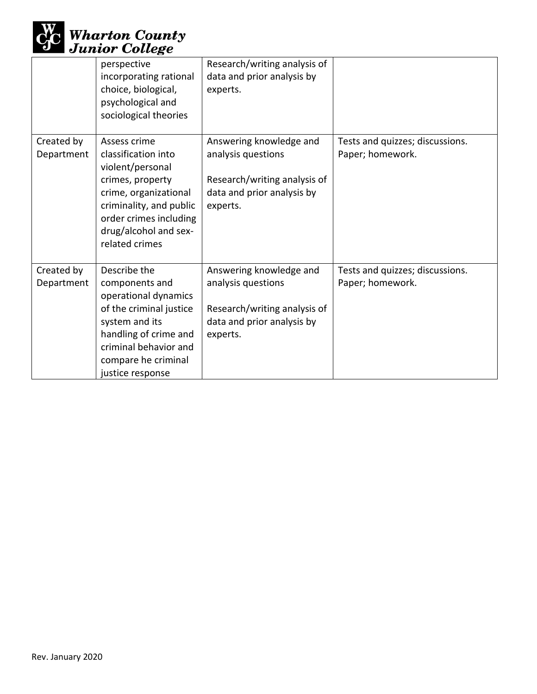

|                          | perspective<br>incorporating rational<br>choice, biological,<br>psychological and<br>sociological theories                                                                                           | Research/writing analysis of<br>data and prior analysis by<br>experts.                                                  |                                                     |
|--------------------------|------------------------------------------------------------------------------------------------------------------------------------------------------------------------------------------------------|-------------------------------------------------------------------------------------------------------------------------|-----------------------------------------------------|
| Created by<br>Department | Assess crime<br>classification into<br>violent/personal<br>crimes, property<br>crime, organizational<br>criminality, and public<br>order crimes including<br>drug/alcohol and sex-<br>related crimes | Answering knowledge and<br>analysis questions<br>Research/writing analysis of<br>data and prior analysis by<br>experts. | Tests and quizzes; discussions.<br>Paper; homework. |
| Created by<br>Department | Describe the<br>components and<br>operational dynamics<br>of the criminal justice<br>system and its<br>handling of crime and<br>criminal behavior and<br>compare he criminal<br>justice response     | Answering knowledge and<br>analysis questions<br>Research/writing analysis of<br>data and prior analysis by<br>experts. | Tests and quizzes; discussions.<br>Paper; homework. |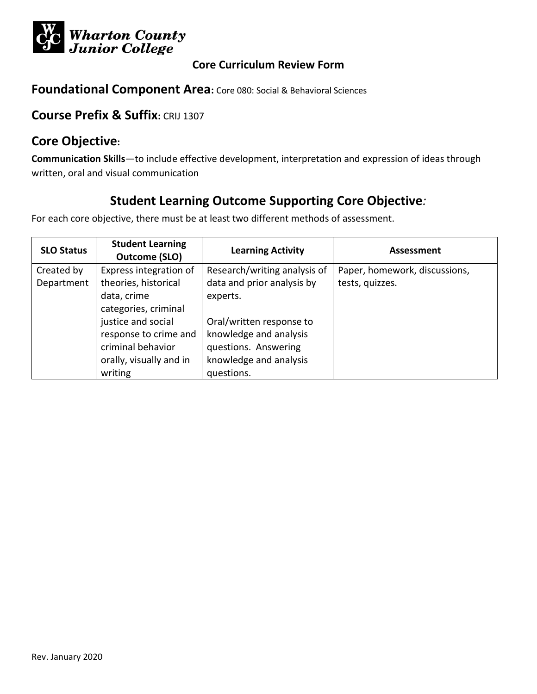

**Foundational Component Area:** Core 080: Social & Behavioral Sciences

## **Course Prefix & Suffix:** CRIJ 1307

## **Core Objective:**

**Communication Skills**—to include effective development, interpretation and expression of ideas through written, oral and visual communication

# **Student Learning Outcome Supporting Core Objective***:*

| <b>SLO Status</b> | <b>Student Learning</b><br><b>Outcome (SLO)</b> | <b>Learning Activity</b>     | Assessment                    |
|-------------------|-------------------------------------------------|------------------------------|-------------------------------|
| Created by        | Express integration of                          | Research/writing analysis of | Paper, homework, discussions, |
| Department        | theories, historical                            | data and prior analysis by   | tests, quizzes.               |
|                   | data, crime                                     | experts.                     |                               |
|                   | categories, criminal                            |                              |                               |
|                   | justice and social                              | Oral/written response to     |                               |
|                   | response to crime and                           | knowledge and analysis       |                               |
|                   | criminal behavior                               | questions. Answering         |                               |
|                   | orally, visually and in                         | knowledge and analysis       |                               |
|                   | writing                                         | questions.                   |                               |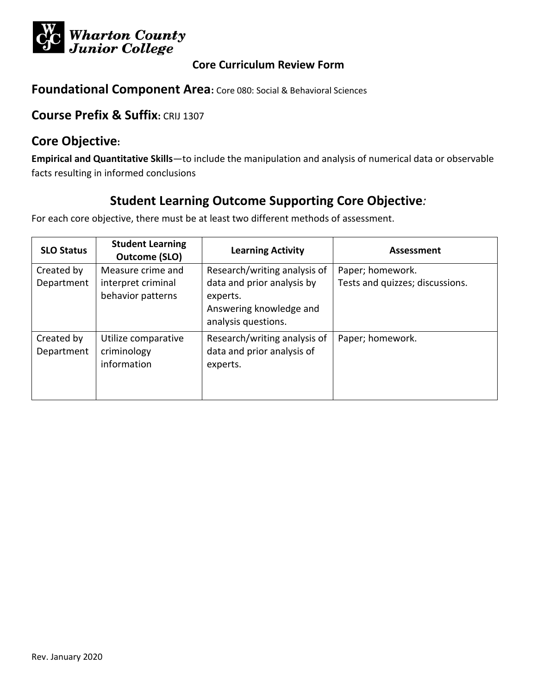

**Foundational Component Area:** Core 080: Social & Behavioral Sciences

## **Course Prefix & Suffix:** CRIJ 1307

## **Core Objective:**

**Empirical and Quantitative Skills**—to include the manipulation and analysis of numerical data or observable facts resulting in informed conclusions

# **Student Learning Outcome Supporting Core Objective***:*

| <b>SLO Status</b>        | <b>Student Learning</b><br>Outcome (SLO)                     | <b>Learning Activity</b>                                                                                                 | Assessment                                          |
|--------------------------|--------------------------------------------------------------|--------------------------------------------------------------------------------------------------------------------------|-----------------------------------------------------|
| Created by<br>Department | Measure crime and<br>interpret criminal<br>behavior patterns | Research/writing analysis of<br>data and prior analysis by<br>experts.<br>Answering knowledge and<br>analysis questions. | Paper; homework.<br>Tests and quizzes; discussions. |
| Created by<br>Department | Utilize comparative<br>criminology<br>information            | Research/writing analysis of<br>data and prior analysis of<br>experts.                                                   | Paper; homework.                                    |